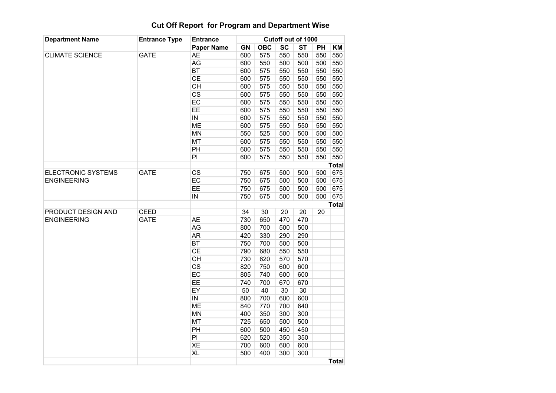## Cut Off Report for Program and Department Wise

| <b>Department Name</b>                          | <b>Entrance Type</b> | <b>Entrance</b><br><b>Paper Name</b> |           |            |           | Cutoff out of 1000 |     |              |
|-------------------------------------------------|----------------------|--------------------------------------|-----------|------------|-----------|--------------------|-----|--------------|
|                                                 |                      |                                      | <b>GN</b> | <b>OBC</b> | <b>SC</b> | <b>ST</b>          | PH  | KM           |
| <b>CLIMATE SCIENCE</b>                          | <b>GATE</b>          | <b>AE</b>                            | 600       | 575        | 550       | 550                | 550 | 550          |
|                                                 |                      | <b>AG</b>                            | 600       | 550        | 500       | 500                | 500 | 550          |
|                                                 |                      | <b>BT</b>                            | 600       | 575        | 550       | 550                | 550 | 550          |
|                                                 |                      | CE                                   | 600       | 575        | 550       | 550                | 550 | 550          |
|                                                 |                      | <b>CH</b>                            | 600       | 575        | 550       | 550                | 550 | 550          |
|                                                 |                      | $\overline{\text{CS}}$               | 600       | 575        | 550       | 550                | 550 | 550          |
|                                                 |                      | <b>EC</b>                            | 600       | 575        | 550       | 550                | 550 | 550          |
|                                                 |                      | EE                                   | 600       | 575        | 550       | 550                | 550 | 550          |
|                                                 |                      | ${\sf IN}$                           | 600       | 575        | 550       | 550                | 550 | 550          |
|                                                 |                      | <b>ME</b>                            | 600       | 575        | 550       | 550                | 550 | 550          |
|                                                 |                      | <b>MN</b>                            | 550       | 525        | 500       | 500                | 500 | 500          |
|                                                 |                      | MT                                   | 600       | 575        | 550       | 550                | 550 | 550          |
|                                                 |                      | PH                                   | 600       | 575        | 550       | 550                | 550 | 550          |
|                                                 |                      | PI                                   | 600       | 575        | 550       | 550                | 550 | 550          |
|                                                 |                      |                                      |           |            |           |                    |     | <b>Total</b> |
| <b>ELECTRONIC SYSTEMS</b><br><b>ENGINEERING</b> | <b>GATE</b>          | $\overline{\text{CS}}$               | 750       | 675        | 500       | 500                | 500 | 675          |
|                                                 |                      | EC                                   | 750       | 675        | 500       | 500                | 500 | 675          |
|                                                 |                      | EE                                   | 750       | 675        | 500       | 500                | 500 | 675          |
|                                                 |                      | IN                                   | 750       | 675        | 500       | 500                | 500 | 675          |
|                                                 |                      |                                      |           |            |           |                    |     | <b>Total</b> |
| PRODUCT DESIGN AND<br><b>ENGINEERING</b>        | <b>CEED</b>          |                                      | 34        | 30         | 20        | 20                 | 20  |              |
|                                                 | <b>GATE</b>          | <b>AE</b>                            | 730       | 650        | 470       | 470                |     |              |
|                                                 |                      | AG                                   | 800       | 700        | 500       | 500                |     |              |
|                                                 |                      | <b>AR</b>                            | 420       | 330        | 290       | 290                |     |              |
|                                                 |                      | <b>BT</b>                            | 750       | 700        | 500       | 500                |     |              |
|                                                 |                      | <b>CE</b>                            | 790       | 680        | 550       | 550                |     |              |
|                                                 |                      | <b>CH</b>                            | 730       | 620        | 570       | 570                |     |              |
|                                                 |                      | $\overline{\text{CS}}$               | 820       | 750        | 600       | 600                |     |              |
|                                                 |                      | EC                                   | 805       | 740        | 600       | 600                |     |              |
|                                                 |                      | EE                                   | 740       | 700        | 670       | 670                |     |              |
|                                                 |                      | EY                                   | 50        | 40         | 30        | 30                 |     |              |
|                                                 |                      | $\overline{IN}$                      | 800       | 700        | 600       | 600                |     |              |
|                                                 |                      | <b>ME</b>                            | 840       | 770        | 700       | 640                |     |              |
|                                                 |                      | <b>MN</b>                            | 400       | 350        | 300       | 300                |     |              |
|                                                 |                      | MT                                   | 725       | 650        | 500       | 500                |     |              |
|                                                 |                      | PH                                   | 600       | 500        | 450       | 450                |     |              |
|                                                 |                      | PI                                   | 620       | 520        | 350       | 350                |     |              |
|                                                 |                      | <b>XE</b>                            | 700       | 600        | 600       | 600                |     |              |
|                                                 |                      | XL                                   | 500       | 400        | 300       | 300                |     |              |
|                                                 |                      |                                      |           |            |           |                    |     | <b>Total</b> |